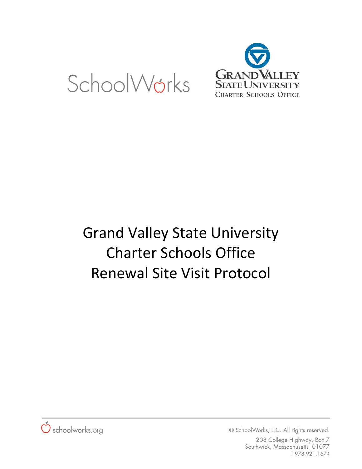



# Grand Valley State University Charter Schools Office Renewal Site Visit Protocol



© SchoolWorks, LLC. All rights reserved.

208 College Highway, Box 7 Southwick, Massachusetts 01077 T978.921.1674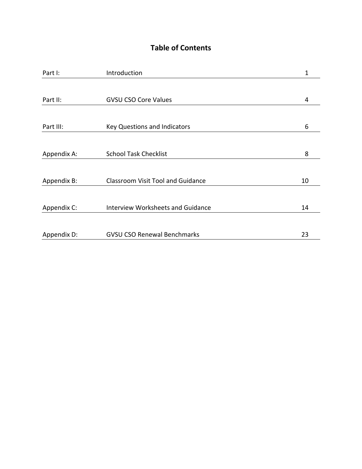# **Table of Contents**

| Part I:     | Introduction                             | 1  |
|-------------|------------------------------------------|----|
|             |                                          |    |
| Part II:    | <b>GVSU CSO Core Values</b>              | 4  |
|             |                                          |    |
| Part III:   | <b>Key Questions and Indicators</b>      | 6  |
|             |                                          |    |
| Appendix A: | <b>School Task Checklist</b>             | 8  |
|             |                                          |    |
| Appendix B: | <b>Classroom Visit Tool and Guidance</b> | 10 |
|             |                                          |    |
| Appendix C: | <b>Interview Worksheets and Guidance</b> | 14 |
|             |                                          |    |
| Appendix D: | <b>GVSU CSO Renewal Benchmarks</b>       | 23 |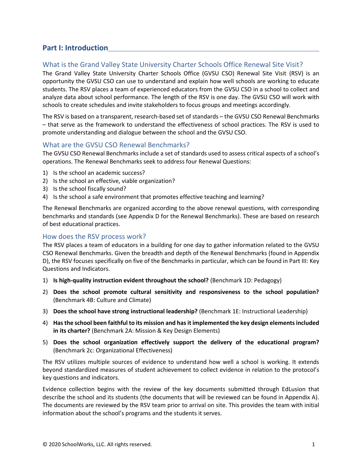# **Part I: Introduction**

### What is the Grand Valley State University Charter Schools Office Renewal Site Visit?

The Grand Valley State University Charter Schools Office (GVSU CSO) Renewal Site Visit (RSV) is an opportunity the GVSU CSO can use to understand and explain how well schools are working to educate students. The RSV places a team of experienced educators from the GVSU CSO in a school to collect and analyze data about school performance. The length of the RSV is one day. The GVSU CSO will work with schools to create schedules and invite stakeholders to focus groups and meetings accordingly.

The RSV is based on a transparent, research-based set of standards – the GVSU CSO Renewal Benchmarks – that serve as the framework to understand the effectiveness of school practices. The RSV is used to promote understanding and dialogue between the school and the GVSU CSO.

#### What are the GVSU CSO Renewal Benchmarks?

The GVSU CSO Renewal Benchmarks include a set of standards used to assess critical aspects of a school's operations. The Renewal Benchmarks seek to address four Renewal Questions:

- 1) Is the school an academic success?
- 2) Is the school an effective, viable organization?
- 3) Is the school fiscally sound?
- 4) Is the school a safe environment that promotes effective teaching and learning?

The Renewal Benchmarks are organized according to the above renewal questions, with corresponding benchmarks and standards (see Appendix D for the Renewal Benchmarks). These are based on research of best educational practices.

#### How does the RSV process work?

The RSV places a team of educators in a building for one day to gather information related to the GVSU CSO Renewal Benchmarks. Given the breadth and depth of the Renewal Benchmarks (found in Appendix D), the RSV focuses specifically on five of the Benchmarks in particular, which can be found in Part III: Key Questions and Indicators.

- 1) **Is high-quality instruction evident throughout the school?** (Benchmark 1D: Pedagogy)
- 2) **Does the school promote cultural sensitivity and responsiveness to the school population?** (Benchmark 4B: Culture and Climate)
- 3) **Does the school have strong instructional leadership?** (Benchmark 1E: Instructional Leadership)
- 4) **Has the school been faithful to its mission and has it implemented the key design elements included in its charter?** (Benchmark 2A: Mission & Key Design Elements)
- 5) **Does the school organization effectively support the delivery of the educational program?** (Benchmark 2c: Organizational Effectiveness)

The RSV utilizes multiple sources of evidence to understand how well a school is working. It extends beyond standardized measures of student achievement to collect evidence in relation to the protocol's key questions and indicators.

Evidence collection begins with the review of the key documents submitted through EdLusion that describe the school and its students (the documents that will be reviewed can be found in Appendix A). The documents are reviewed by the RSV team prior to arrival on site. This provides the team with initial information about the school's programs and the students it serves.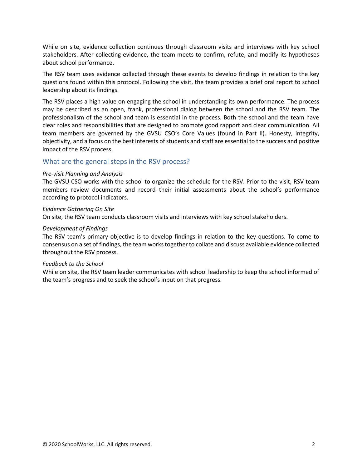While on site, evidence collection continues through classroom visits and interviews with key school stakeholders. After collecting evidence, the team meets to confirm, refute, and modify its hypotheses about school performance.

The RSV team uses evidence collected through these events to develop findings in relation to the key questions found within this protocol. Following the visit, the team provides a brief oral report to school leadership about its findings.

The RSV places a high value on engaging the school in understanding its own performance. The process may be described as an open, frank, professional dialog between the school and the RSV team. The professionalism of the school and team is essential in the process. Both the school and the team have clear roles and responsibilities that are designed to promote good rapport and clear communication. All team members are governed by the GVSU CSO's Core Values (found in Part II). Honesty, integrity, objectivity, and a focus on the best interests of students and staff are essential to the success and positive impact of the RSV process.

### What are the general steps in the RSV process?

#### *Pre-visit Planning and Analysis*

The GVSU CSO works with the school to organize the schedule for the RSV. Prior to the visit, RSV team members review documents and record their initial assessments about the school's performance according to protocol indicators.

#### *Evidence Gathering On Site*

On site, the RSV team conducts classroom visits and interviews with key school stakeholders.

#### *Development of Findings*

The RSV team's primary objective is to develop findings in relation to the key questions. To come to consensus on a set of findings, the team works together to collate and discuss available evidence collected throughout the RSV process.

#### *Feedback to the School*

While on site, the RSV team leader communicates with school leadership to keep the school informed of the team's progress and to seek the school's input on that progress.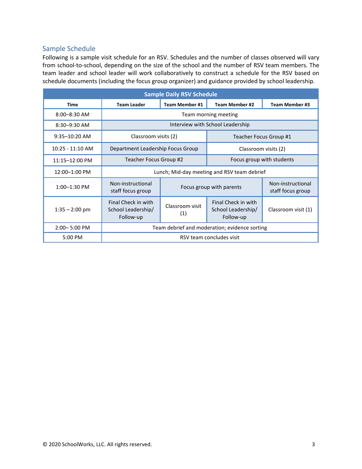### Sample Schedule

Following is a sample visit schedule for an RSV. Schedules and the number of classes observed will vary from school-to-school, depending on the size of the school and the number of RSV team members. The team leader and school leader will work collaboratively to construct a schedule for the RSV based on schedule documents (including the focus group organizer) and guidance provided by school leadership.

| <b>Sample Daily RSV Schedule</b> |                                                        |                        |                                                        |                                        |  |
|----------------------------------|--------------------------------------------------------|------------------------|--------------------------------------------------------|----------------------------------------|--|
| <b>Time</b>                      | <b>Team Leader</b>                                     | <b>Team Member #1</b>  | <b>Team Member #2</b>                                  | <b>Team Member #3</b>                  |  |
| 8:00-8:30 AM                     | Team morning meeting                                   |                        |                                                        |                                        |  |
| $8:30 - 9:30$ AM                 |                                                        |                        | Interview with School Leadership                       |                                        |  |
| $9:35-10:20$ AM                  | Classroom visits (2)                                   |                        | Teacher Focus Group #1                                 |                                        |  |
| $10:25 - 11:10$ AM               | Department Leadership Focus Group                      |                        | Classroom visits (2)                                   |                                        |  |
| 11:15-12:00 PM                   | Teacher Focus Group #2                                 |                        | Focus group with students                              |                                        |  |
| 12:00-1:00 PM                    |                                                        |                        | Lunch; Mid-day meeting and RSV team debrief            |                                        |  |
| 1:00-1:30 PM                     | Non-instructional<br>staff focus group                 |                        | Focus group with parents                               | Non-instructional<br>staff focus group |  |
| $1:35 - 2:00$ pm                 | Final Check in with<br>School Leadership/<br>Follow-up | Classroom visit<br>(1) | Final Check in with<br>School Leadership/<br>Follow-up | Classroom visit (1)                    |  |
| $2:00 - 5:00$ PM                 | Team debrief and moderation; evidence sorting          |                        |                                                        |                                        |  |
| 5:00 PM                          | RSV team concludes visit                               |                        |                                                        |                                        |  |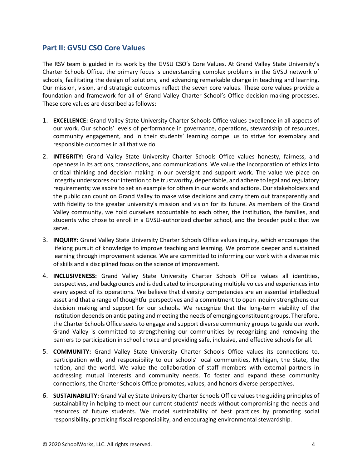# **Part II: GVSU CSO Core Values**

The RSV team is guided in its work by the GVSU CSO's Core Values. At Grand Valley State University's Charter Schools Office, the primary focus is understanding complex problems in the GVSU network of schools, facilitating the design of solutions, and advancing remarkable change in teaching and learning. Our mission, vision, and strategic outcomes reflect the seven core values. These core values provide a foundation and framework for all of Grand Valley Charter School's Office decision-making processes. These core values are described as follows:

- 1. **EXCELLENCE:** Grand Valley State University Charter Schools Office values excellence in all aspects of our work. Our schools' levels of performance in governance, operations, stewardship of resources, community engagement, and in their students' learning compel us to strive for exemplary and responsible outcomes in all that we do.
- 2. **INTEGRITY:** Grand Valley State University Charter Schools Office values honesty, fairness, and openness in its actions, transactions, and communications. We value the incorporation of ethics into critical thinking and decision making in our oversight and support work. The value we place on integrity underscores our intention to be trustworthy, dependable, and adhere to legal and regulatory requirements; we aspire to set an example for others in our words and actions. Our stakeholders and the public can count on Grand Valley to make wise decisions and carry them out transparently and with fidelity to the greater university's mission and vision for its future. As members of the Grand Valley community, we hold ourselves accountable to each other, the institution, the families, and students who chose to enroll in a GVSU-authorized charter school, and the broader public that we serve.
- 3. **INQUIRY:** Grand Valley State University Charter Schools Office values inquiry, which encourages the lifelong pursuit of knowledge to improve teaching and learning. We promote deeper and sustained learning through improvement science. We are committed to informing our work with a diverse mix of skills and a disciplined focus on the science of improvement.
- 4. **INCLUSIVENESS:** Grand Valley State University Charter Schools Office values all identities, perspectives, and backgrounds and is dedicated to incorporating multiple voices and experiences into every aspect of its operations. We believe that diversity competencies are an essential intellectual asset and that a range of thoughtful perspectives and a commitment to open inquiry strengthens our decision making and support for our schools. We recognize that the long-term viability of the institution depends on anticipating and meeting the needs of emerging constituent groups. Therefore, the Charter Schools Office seeks to engage and support diverse community groups to guide our work. Grand Valley is committed to strengthening our communities by recognizing and removing the barriers to participation in school choice and providing safe, inclusive, and effective schools for all.
- 5. **COMMUNITY:** Grand Valley State University Charter Schools Office values its connections to, participation with, and responsibility to our schools' local communities, Michigan, the State, the nation, and the world. We value the collaboration of staff members with external partners in addressing mutual interests and community needs. To foster and expand these community connections, the Charter Schools Office promotes, values, and honors diverse perspectives.
- 6. **SUSTAINABILITY:** Grand Valley State University Charter Schools Office values the guiding principles of sustainability in helping to meet our current students' needs without compromising the needs and resources of future students. We model sustainability of best practices by promoting social responsibility, practicing fiscal responsibility, and encouraging environmental stewardship.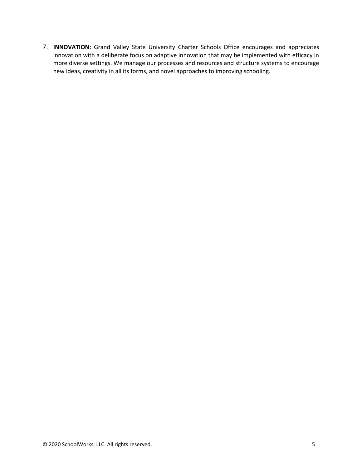7. **INNOVATION:** Grand Valley State University Charter Schools Office encourages and appreciates innovation with a deliberate focus on adaptive innovation that may be implemented with efficacy in more diverse settings. We manage our processes and resources and structure systems to encourage new ideas, creativity in all its forms, and novel approaches to improving schooling.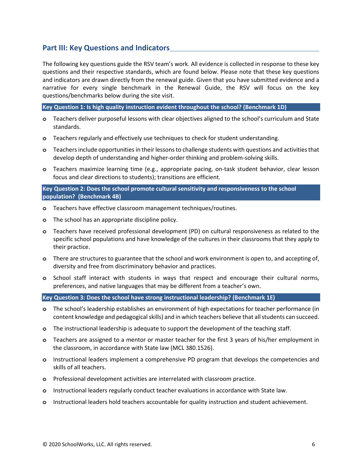# **Part III: Key Questions and Indicators**

The following key questions guide the RSV team's work. All evidence is collected in response to these key questions and their respective standards, which are found below. Please note that these key questions and indicators are drawn directly from the renewal guide. Given that you have submitted evidence and a narrative for every single benchmark in the Renewal Guide, the RSV will focus on the key questions/benchmarks below during the site visit.

**Key Question 1: Is high quality instruction evident throughout the school? (Benchmark 1D)**

- **o** Teachers deliver purposeful lessons with clear objectives aligned to the school's curriculum and State standards.
- **o** Teachers regularly and effectively use techniques to check for student understanding.
- **o** Teachers include opportunities in their lessons to challenge students with questions and activities that develop depth of understanding and higher-order thinking and problem-solving skills.
- **o** Teachers maximize learning time (e.g., appropriate pacing, on-task student behavior, clear lesson focus and clear directions to students); transitions are efficient.

#### **Key Question 2: Does the school promote cultural sensitivity and responsiveness to the school population? (Benchmark 4B)**

- **o** Teachers have effective classroom management techniques/routines.
- **o** The school has an appropriate discipline policy.
- **o** Teachers have received professional development (PD) on cultural responsiveness as related to the specific school populations and have knowledge of the cultures in their classrooms that they apply to their practice.
- **o** There are structures to guarantee that the school and work environment is open to, and accepting of, diversity and free from discriminatory behavior and practices.
- **o** School staff interact with students in ways that respect and encourage their cultural norms, preferences, and native languages that may be different from a teacher's own.

**Key Question 3: Does the school have strong instructional leadership? (Benchmark 1E)**

- **o** The school's leadership establishes an environment of high expectations for teacher performance (in content knowledge and pedagogical skills) and in which teachers believe that all students can succeed.
- **o** The instructional leadership is adequate to support the development of the teaching staff.
- **o** Teachers are assigned to a mentor or master teacher for the first 3 years of his/her employment in the classroom, in accordance with State law (MCL 380.1526).
- **o** Instructional leaders implement a comprehensive PD program that develops the competencies and skills of all teachers.
- **o** Professional development activities are interrelated with classroom practice.
- **o** Instructional leaders regularly conduct teacher evaluations in accordance with State law.
- **o** Instructional leaders hold teachers accountable for quality instruction and student achievement.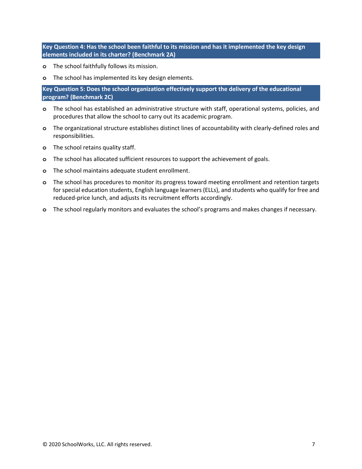**Key Question 4: Has the school been faithful to its mission and has it implemented the key design elements included in its charter? (Benchmark 2A)**

- **o** The school faithfully follows its mission.
- **o** The school has implemented its key design elements.

**Key Question 5: Does the school organization effectively support the delivery of the educational program? (Benchmark 2C)**

- **o** The school has established an administrative structure with staff, operational systems, policies, and procedures that allow the school to carry out its academic program.
- **o** The organizational structure establishes distinct lines of accountability with clearly-defined roles and responsibilities.
- **o** The school retains quality staff.
- **o** The school has allocated sufficient resources to support the achievement of goals.
- **o** The school maintains adequate student enrollment.
- **o** The school has procedures to monitor its progress toward meeting enrollment and retention targets for special education students, English language learners (ELLs), and students who qualify for free and reduced-price lunch, and adjusts its recruitment efforts accordingly.
- **o** The school regularly monitors and evaluates the school's programs and makes changes if necessary.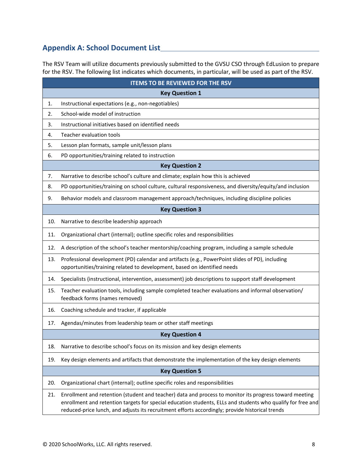# **Appendix A: School Document List**

The RSV Team will utilize documents previously submitted to the GVSU CSO through EdLusion to prepare for the RSV. The following list indicates which documents, in particular, will be used as part of the RSV.

|     | <b>ITEMS TO BE REVIEWED FOR THE RSV</b>                                                                                                                                                                                                                                                                                  |  |  |  |  |  |
|-----|--------------------------------------------------------------------------------------------------------------------------------------------------------------------------------------------------------------------------------------------------------------------------------------------------------------------------|--|--|--|--|--|
|     | <b>Key Question 1</b>                                                                                                                                                                                                                                                                                                    |  |  |  |  |  |
| 1.  | Instructional expectations (e.g., non-negotiables)                                                                                                                                                                                                                                                                       |  |  |  |  |  |
| 2.  | School-wide model of instruction                                                                                                                                                                                                                                                                                         |  |  |  |  |  |
| 3.  | Instructional initiatives based on identified needs                                                                                                                                                                                                                                                                      |  |  |  |  |  |
| 4.  | Teacher evaluation tools                                                                                                                                                                                                                                                                                                 |  |  |  |  |  |
| 5.  | Lesson plan formats, sample unit/lesson plans                                                                                                                                                                                                                                                                            |  |  |  |  |  |
| 6.  | PD opportunities/training related to instruction                                                                                                                                                                                                                                                                         |  |  |  |  |  |
|     | <b>Key Question 2</b>                                                                                                                                                                                                                                                                                                    |  |  |  |  |  |
| 7.  | Narrative to describe school's culture and climate; explain how this is achieved                                                                                                                                                                                                                                         |  |  |  |  |  |
| 8.  | PD opportunities/training on school culture, cultural responsiveness, and diversity/equity/and inclusion                                                                                                                                                                                                                 |  |  |  |  |  |
| 9.  | Behavior models and classroom management approach/techniques, including discipline policies                                                                                                                                                                                                                              |  |  |  |  |  |
|     | <b>Key Question 3</b>                                                                                                                                                                                                                                                                                                    |  |  |  |  |  |
| 10. | Narrative to describe leadership approach                                                                                                                                                                                                                                                                                |  |  |  |  |  |
| 11. | Organizational chart (internal); outline specific roles and responsibilities                                                                                                                                                                                                                                             |  |  |  |  |  |
| 12. | A description of the school's teacher mentorship/coaching program, including a sample schedule                                                                                                                                                                                                                           |  |  |  |  |  |
| 13. | Professional development (PD) calendar and artifacts (e.g., PowerPoint slides of PD), including<br>opportunities/training related to development, based on identified needs                                                                                                                                              |  |  |  |  |  |
| 14. | Specialists (instructional, intervention, assessment) job descriptions to support staff development                                                                                                                                                                                                                      |  |  |  |  |  |
| 15. | Teacher evaluation tools, including sample completed teacher evaluations and informal observation/<br>feedback forms (names removed)                                                                                                                                                                                     |  |  |  |  |  |
| 16. | Coaching schedule and tracker, if applicable                                                                                                                                                                                                                                                                             |  |  |  |  |  |
| 17. | Agendas/minutes from leadership team or other staff meetings                                                                                                                                                                                                                                                             |  |  |  |  |  |
|     | <b>Key Question 4</b>                                                                                                                                                                                                                                                                                                    |  |  |  |  |  |
| 18. | Narrative to describe school's focus on its mission and key design elements                                                                                                                                                                                                                                              |  |  |  |  |  |
| 19. | Key design elements and artifacts that demonstrate the implementation of the key design elements                                                                                                                                                                                                                         |  |  |  |  |  |
|     | <b>Key Question 5</b>                                                                                                                                                                                                                                                                                                    |  |  |  |  |  |
| 20. | Organizational chart (internal); outline specific roles and responsibilities                                                                                                                                                                                                                                             |  |  |  |  |  |
| 21. | Enrollment and retention (student and teacher) data and process to monitor its progress toward meeting<br>enrollment and retention targets for special education students, ELLs and students who qualify for free and<br>reduced-price lunch, and adjusts its recruitment efforts accordingly; provide historical trends |  |  |  |  |  |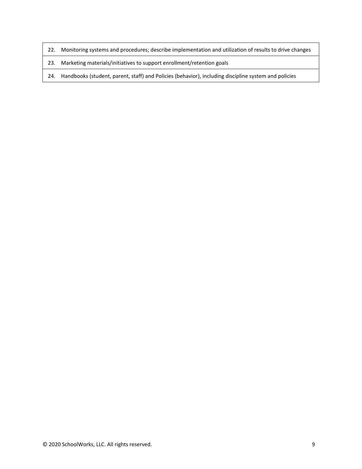- 22. Monitoring systems and procedures; describe implementation and utilization of results to drive changes
- 23. Marketing materials/initiatives to support enrollment/retention goals
- 24. Handbooks (student, parent, staff) and Policies (behavior), including discipline system and policies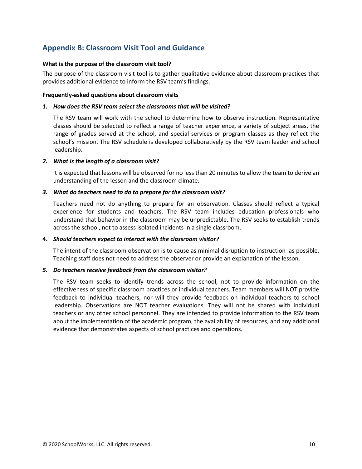# **Appendix B: Classroom Visit Tool and Guidance**

#### **What is the purpose of the classroom visit tool?**

The purpose of the classroom visit tool is to gather qualitative evidence about classroom practices that provides additional evidence to inform the RSV team's findings.

#### **Frequently-asked questions about classroom visits**

#### *1. How does the RSV team select the classrooms that will be visited?*

The RSV team will work with the school to determine how to observe instruction. Representative classes should be selected to reflect a range of teacher experience, a variety of subject areas, the range of grades served at the school, and special services or program classes as they reflect the school's mission. The RSV schedule is developed collaboratively by the RSV team leader and school leadership.

#### *2. What is the length of a classroom visit?*

It is expected that lessons will be observed for no less than 20 minutes to allow the team to derive an understanding of the lesson and the classroom climate.

#### *3. What do teachers need to do to prepare for the classroom visit?*

Teachers need not do anything to prepare for an observation. Classes should reflect a typical experience for students and teachers. The RSV team includes education professionals who understand that behavior in the classroom may be unpredictable. The RSV seeks to establish trends across the school, not to assess isolated incidents in a single classroom.

#### **4.** *Should teachers expect to interact with the classroom visitor?*

The intent of the classroom observation is to cause as minimal disruption to instruction as possible. Teaching staff does not need to address the observer or provide an explanation of the lesson.

#### *5. Do teachers receive feedback from the classroom visitor?*

The RSV team seeks to identify trends across the school, not to provide information on the effectiveness of specific classroom practices or individual teachers. Team members will NOT provide feedback to individual teachers, nor will they provide feedback on individual teachers to school leadership. Observations are NOT teacher evaluations. They will not be shared with individual teachers or any other school personnel. They are intended to provide information to the RSV team about the implementation of the academic program, the availability of resources, and any additional evidence that demonstrates aspects of school practices and operations.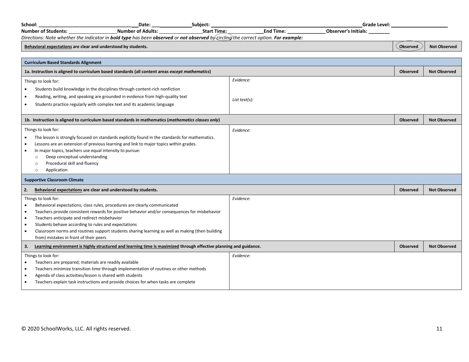| School:                                                             | Date:                                                                                                                              | Subject:           |                  | Grade Level: _              |                 |                     |
|---------------------------------------------------------------------|------------------------------------------------------------------------------------------------------------------------------------|--------------------|------------------|-----------------------------|-----------------|---------------------|
| <b>Number of Students:</b>                                          | <b>Number of Adults:</b>                                                                                                           | <b>Start Time:</b> | End Time: $\_\_$ | <b>Observer's Initials:</b> |                 |                     |
|                                                                     | Directions: Note whether the indicator in bold type has been observed or not observed by circling the correct option. For example: |                    |                  |                             |                 |                     |
| Behavioral expectations are clear and understood by students.       |                                                                                                                                    |                    |                  |                             | Observed        | <b>Not Observed</b> |
|                                                                     |                                                                                                                                    |                    |                  |                             |                 |                     |
| <b>Curriculum Based Standards Alignment</b>                         |                                                                                                                                    |                    |                  |                             |                 |                     |
|                                                                     | 1a. Instruction is aligned to curriculum based standards (all content areas except mathematics)                                    |                    |                  |                             |                 | <b>Not Observed</b> |
| Things to look for:                                                 |                                                                                                                                    |                    | Evidence:        |                             |                 |                     |
|                                                                     | Students build knowledge in the disciplines through content-rich nonfiction                                                        |                    |                  |                             |                 |                     |
|                                                                     | Reading, writing, and speaking are grounded in evidence from high-quality text                                                     |                    | List text(s):    |                             |                 |                     |
|                                                                     | Students practice regularly with complex text and its academic language                                                            |                    |                  |                             |                 |                     |
|                                                                     |                                                                                                                                    |                    |                  |                             |                 |                     |
|                                                                     | 1b. Instruction is aligned to curriculum based standards in mathematics ( <i>mathematics classes only</i> )                        |                    |                  |                             | Observed        | <b>Not Observed</b> |
| Things to look for:                                                 |                                                                                                                                    |                    | Evidence:        |                             |                 |                     |
|                                                                     | The lesson is strongly focused on standards explicitly found in the standards for mathematics.                                     |                    |                  |                             |                 |                     |
|                                                                     | Lessons are an extension of previous learning and link to major topics within grades.                                              |                    |                  |                             |                 |                     |
| In major topics, teachers use equal intensity to pursue:            |                                                                                                                                    |                    |                  |                             |                 |                     |
| Deep conceptual understanding<br>$\Omega$                           |                                                                                                                                    |                    |                  |                             |                 |                     |
| Procedural skill and fluency<br>$\Omega$                            |                                                                                                                                    |                    |                  |                             |                 |                     |
| Application<br>$\circ$                                              |                                                                                                                                    |                    |                  |                             |                 |                     |
| <b>Supportive Classroom Climate</b>                                 |                                                                                                                                    |                    |                  |                             |                 |                     |
| Behavioral expectations are clear and understood by students.<br>2. |                                                                                                                                    |                    |                  |                             | <b>Observed</b> | <b>Not Observed</b> |
| Things to look for:                                                 |                                                                                                                                    |                    | Evidence:        |                             |                 |                     |
|                                                                     | Behavioral expectations, class rules, procedures are clearly communicated                                                          |                    |                  |                             |                 |                     |
| $\bullet$                                                           | Teachers provide consistent rewards for positive behavior and/or consequences for misbehavior                                      |                    |                  |                             |                 |                     |
| Teachers anticipate and redirect misbehavior                        |                                                                                                                                    |                    |                  |                             |                 |                     |
| Students behave according to rules and expectations                 |                                                                                                                                    |                    |                  |                             |                 |                     |
| $\bullet$<br>from) mistakes in front of their peers                 | Classroom norms and routines support students sharing learning as well as making (then building                                    |                    |                  |                             |                 |                     |
| 3.                                                                  | Learning environment is highly structured and learning time is maximized through effective planning and guidance.                  |                    |                  |                             | <b>Observed</b> | <b>Not Observed</b> |
|                                                                     |                                                                                                                                    |                    |                  |                             |                 |                     |
| Things to look for:                                                 |                                                                                                                                    |                    | Evidence:        |                             |                 |                     |
| Teachers are prepared; materials are readily available<br>$\bullet$ | Teachers minimize transition time through implementation of routines or other methods                                              |                    |                  |                             |                 |                     |
| Agenda of class activities/lesson is shared with students           |                                                                                                                                    |                    |                  |                             |                 |                     |
|                                                                     | Teachers explain task instructions and provide choices for when tasks are complete                                                 |                    |                  |                             |                 |                     |
|                                                                     |                                                                                                                                    |                    |                  |                             |                 |                     |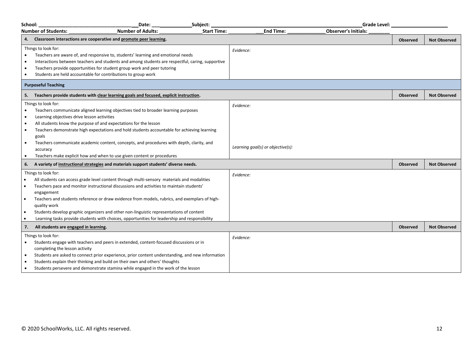| School:                                                       |                                                                                                                                                                                                                                                                                                                                                                                                                                                                                                                                          | Date:                    | Subject:           |                                                | Grade Level:                |                 |                     |
|---------------------------------------------------------------|------------------------------------------------------------------------------------------------------------------------------------------------------------------------------------------------------------------------------------------------------------------------------------------------------------------------------------------------------------------------------------------------------------------------------------------------------------------------------------------------------------------------------------------|--------------------------|--------------------|------------------------------------------------|-----------------------------|-----------------|---------------------|
|                                                               | <b>Number of Students:</b>                                                                                                                                                                                                                                                                                                                                                                                                                                                                                                               | <b>Number of Adults:</b> | <b>Start Time:</b> | <b>End Time:</b>                               | <b>Observer's Initials:</b> |                 |                     |
|                                                               | Classroom interactions are cooperative and promote peer learning.                                                                                                                                                                                                                                                                                                                                                                                                                                                                        |                          |                    |                                                |                             | <b>Observed</b> | <b>Not Observed</b> |
| $\bullet$                                                     | Things to look for:<br>Teachers are aware of, and responsive to, students' learning and emotional needs<br>Interactions between teachers and students and among students are respectful, caring, supportive<br>Teachers provide opportunities for student group work and peer tutoring<br>Students are held accountable for contributions to group work                                                                                                                                                                                  |                          |                    | Evidence:                                      |                             |                 |                     |
|                                                               | <b>Purposeful Teaching</b>                                                                                                                                                                                                                                                                                                                                                                                                                                                                                                               |                          |                    |                                                |                             |                 |                     |
|                                                               | 5. Teachers provide students with clear learning goals and focused, explicit instruction.                                                                                                                                                                                                                                                                                                                                                                                                                                                |                          |                    |                                                |                             | Observed        | <b>Not Observed</b> |
| $\bullet$<br>$\bullet$<br>$\bullet$<br>$\bullet$<br>$\bullet$ | Things to look for:<br>Teachers communicate aligned learning objectives tied to broader learning purposes<br>Learning objectives drive lesson activities<br>All students know the purpose of and expectations for the lesson<br>Teachers demonstrate high expectations and hold students accountable for achieving learning<br>goals<br>Teachers communicate academic content, concepts, and procedures with depth, clarity, and<br>accuracy<br>Teachers make explicit how and when to use given content or procedures                   |                          |                    | Evidence:<br>Learning goal(s) or objective(s): |                             |                 |                     |
| 6.                                                            | A variety of instructional strategies and materials support students' diverse needs.                                                                                                                                                                                                                                                                                                                                                                                                                                                     |                          |                    |                                                |                             | <b>Observed</b> | <b>Not Observed</b> |
| $\bullet$<br>$\bullet$<br>$\bullet$<br>$\bullet$<br>$\bullet$ | Things to look for:<br>All students can access grade level content through multi-sensory materials and modalities<br>Teachers pace and monitor instructional discussions and activities to maintain students'<br>engagement<br>Teachers and students reference or draw evidence from models, rubrics, and exemplars of high-<br>quality work<br>Students develop graphic organizers and other non-linguistic representations of content<br>Learning tasks provide students with choices, opportunities for leadership and responsibility |                          |                    | Evidence:                                      |                             |                 |                     |
| 7.                                                            | All students are engaged in learning.                                                                                                                                                                                                                                                                                                                                                                                                                                                                                                    |                          |                    |                                                |                             | <b>Observed</b> | <b>Not Observed</b> |
| $\bullet$                                                     | Things to look for:<br>Students engage with teachers and peers in extended, content-focused discussions or in<br>completing the lesson activity<br>Students are asked to connect prior experience, prior content understanding, and new information<br>Students explain their thinking and build on their own and others' thoughts<br>Students persevere and demonstrate stamina while engaged in the work of the lesson                                                                                                                 |                          |                    | Evidence:                                      |                             |                 |                     |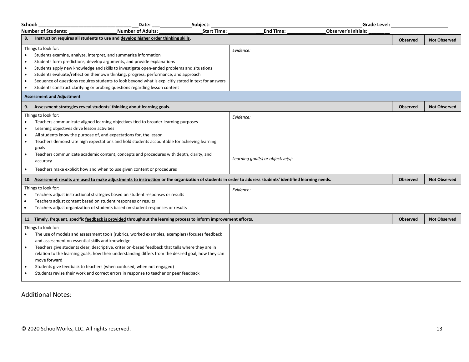| School:                                                       |                                                                                                                                                                                                                                                                                                                                                                                                                                                                                                                                                                                                                                                                                                                                                                                                                                                                  | Date:                    | Subject:           |                                                             | <b>Grade Level:</b>         |                 |                     |
|---------------------------------------------------------------|------------------------------------------------------------------------------------------------------------------------------------------------------------------------------------------------------------------------------------------------------------------------------------------------------------------------------------------------------------------------------------------------------------------------------------------------------------------------------------------------------------------------------------------------------------------------------------------------------------------------------------------------------------------------------------------------------------------------------------------------------------------------------------------------------------------------------------------------------------------|--------------------------|--------------------|-------------------------------------------------------------|-----------------------------|-----------------|---------------------|
|                                                               | <b>Number of Students:</b>                                                                                                                                                                                                                                                                                                                                                                                                                                                                                                                                                                                                                                                                                                                                                                                                                                       | <b>Number of Adults:</b> | <b>Start Time:</b> | <b>End Time:</b>                                            | <b>Observer's Initials:</b> |                 |                     |
| 8.                                                            | Instruction requires all students to use and develop higher order thinking skills.                                                                                                                                                                                                                                                                                                                                                                                                                                                                                                                                                                                                                                                                                                                                                                               |                          |                    |                                                             |                             | <b>Observed</b> | <b>Not Observed</b> |
| ٠<br>$\epsilon$<br>$\bullet$<br>$\bullet$<br>$\bullet$        | Things to look for:<br>Students examine, analyze, interpret, and summarize information<br>Students form predictions, develop arguments, and provide explanations<br>Students apply new knowledge and skills to investigate open-ended problems and situations<br>Students evaluate/reflect on their own thinking, progress, performance, and approach<br>Sequence of questions requires students to look beyond what is explicitly stated in text for answers<br>Students construct clarifying or probing questions regarding lesson content                                                                                                                                                                                                                                                                                                                     |                          |                    | Evidence:                                                   |                             |                 |                     |
|                                                               | <b>Assessment and Adjustment</b>                                                                                                                                                                                                                                                                                                                                                                                                                                                                                                                                                                                                                                                                                                                                                                                                                                 |                          |                    |                                                             |                             |                 |                     |
| 9.                                                            | Assessment strategies reveal students' thinking about learning goals.                                                                                                                                                                                                                                                                                                                                                                                                                                                                                                                                                                                                                                                                                                                                                                                            |                          |                    |                                                             |                             | <b>Observed</b> | <b>Not Observed</b> |
| $\bullet$<br>$\bullet$<br>$\bullet$<br>$\bullet$<br>$\bullet$ | Things to look for:<br>Teachers communicate aligned learning objectives tied to broader learning purposes<br>Learning objectives drive lesson activities<br>All students know the purpose of, and expectations for, the lesson<br>Teachers demonstrate high expectations and hold students accountable for achieving learning<br>goals<br>Teachers communicate academic content, concepts and procedures with depth, clarity, and<br>accuracy<br>Teachers make explicit how and when to use given content or procedures<br>10. Assessment results are used to make adjustments to instruction or the organization of students in order to address students' identified learning needs.<br>Things to look for:<br>Teachers adjust instructional strategies based on student responses or results<br>Teachers adjust content based on student responses or results |                          |                    | Evidence:<br>Learning goal(s) or objective(s):<br>Evidence: |                             | <b>Observed</b> | <b>Not Observed</b> |
| $\bullet$                                                     | Teachers adjust organization of students based on student responses or results                                                                                                                                                                                                                                                                                                                                                                                                                                                                                                                                                                                                                                                                                                                                                                                   |                          |                    |                                                             |                             |                 |                     |
|                                                               | 11. Timely, frequent, specific feedback is provided throughout the learning process to inform improvement efforts.                                                                                                                                                                                                                                                                                                                                                                                                                                                                                                                                                                                                                                                                                                                                               |                          |                    |                                                             |                             | <b>Observed</b> | <b>Not Observed</b> |
| $\bullet$                                                     | Things to look for:<br>The use of models and assessment tools (rubrics, worked examples, exemplars) focuses feedback<br>and assessment on essential skills and knowledge<br>Teachers give students clear, descriptive, criterion-based feedback that tells where they are in<br>relation to the learning goals, how their understanding differs from the desired goal, how they can<br>move forward<br>Students give feedback to teachers (when confused, when not engaged)<br>Students revise their work and correct errors in response to teacher or peer feedback                                                                                                                                                                                                                                                                                             |                          |                    |                                                             |                             |                 |                     |

Additional Notes: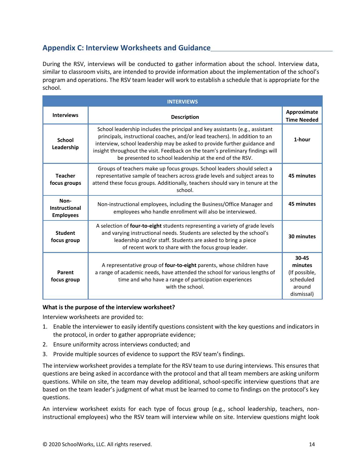# **Appendix C: Interview Worksheets and Guidance**

During the RSV, interviews will be conducted to gather information about the school. Interview data, similar to classroom visits, are intended to provide information about the implementation of the school's program and operations. The RSV team leader will work to establish a schedule that is appropriate for the school.

| <b>INTERVIEWS</b>                                |                                                                                                                                                                                                                                                                                                                                                                                        |                                                                        |  |  |  |
|--------------------------------------------------|----------------------------------------------------------------------------------------------------------------------------------------------------------------------------------------------------------------------------------------------------------------------------------------------------------------------------------------------------------------------------------------|------------------------------------------------------------------------|--|--|--|
| <b>Interviews</b>                                | <b>Description</b>                                                                                                                                                                                                                                                                                                                                                                     |                                                                        |  |  |  |
| <b>School</b><br>Leadership                      | School leadership includes the principal and key assistants (e.g., assistant<br>principals, instructional coaches, and/or lead teachers). In addition to an<br>interview, school leadership may be asked to provide further guidance and<br>insight throughout the visit. Feedback on the team's preliminary findings will<br>be presented to school leadership at the end of the RSV. |                                                                        |  |  |  |
| <b>Teacher</b><br>focus groups                   | Groups of teachers make up focus groups. School leaders should select a<br>representative sample of teachers across grade levels and subject areas to<br>attend these focus groups. Additionally, teachers should vary in tenure at the<br>school.                                                                                                                                     | 45 minutes                                                             |  |  |  |
| Non-<br><b>Instructional</b><br><b>Employees</b> | Non-instructional employees, including the Business/Office Manager and<br>employees who handle enrollment will also be interviewed.                                                                                                                                                                                                                                                    | 45 minutes                                                             |  |  |  |
| <b>Student</b><br>focus group                    | A selection of four-to-eight students representing a variety of grade levels<br>and varying instructional needs. Students are selected by the school's<br>leadership and/or staff. Students are asked to bring a piece<br>of recent work to share with the focus group leader.                                                                                                         | 30 minutes                                                             |  |  |  |
| Parent<br>focus group                            | A representative group of <b>four-to-eight</b> parents, whose children have<br>a range of academic needs, have attended the school for various lengths of<br>time and who have a range of participation experiences<br>with the school.                                                                                                                                                | 30-45<br>minutes<br>(If possible,<br>scheduled<br>around<br>dismissal) |  |  |  |

#### **What is the purpose of the interview worksheet?**

Interview worksheets are provided to:

- 1. Enable the interviewer to easily identify questions consistent with the key questions and indicators in the protocol, in order to gather appropriate evidence;
- 2. Ensure uniformity across interviews conducted; and
- 3. Provide multiple sources of evidence to support the RSV team's findings.

The interview worksheet provides a template for the RSV team to use during interviews. This ensures that questions are being asked in accordance with the protocol and that all team members are asking uniform questions. While on site, the team may develop additional, school-specific interview questions that are based on the team leader's judgment of what must be learned to come to findings on the protocol's key questions.

An interview worksheet exists for each type of focus group (e.g., school leadership, teachers, noninstructional employees) who the RSV team will interview while on site. Interview questions might look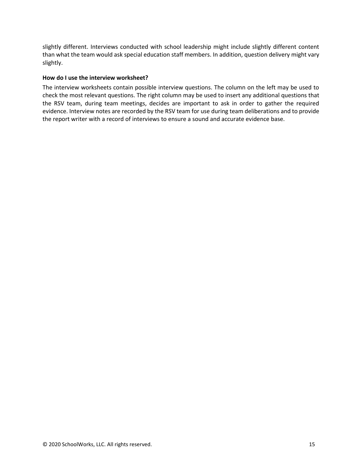slightly different. Interviews conducted with school leadership might include slightly different content than what the team would ask special education staff members. In addition, question delivery might vary slightly.

#### **How do I use the interview worksheet?**

The interview worksheets contain possible interview questions. The column on the left may be used to check the most relevant questions. The right column may be used to insert any additional questions that the RSV team, during team meetings, decides are important to ask in order to gather the required evidence. Interview notes are recorded by the RSV team for use during team deliberations and to provide the report writer with a record of interviews to ensure a sound and accurate evidence base.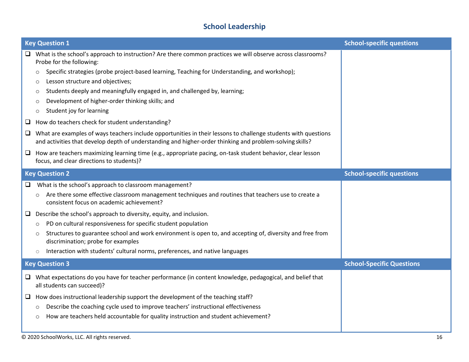# **School Leadership**

|                        | <b>Key Question 1</b>                                                                                                                                                                                                                                                                                                                                                                                                                                                                                                                                                                                                                                                                                                                                                                                                                                                                                                                          | <b>School-specific questions</b> |
|------------------------|------------------------------------------------------------------------------------------------------------------------------------------------------------------------------------------------------------------------------------------------------------------------------------------------------------------------------------------------------------------------------------------------------------------------------------------------------------------------------------------------------------------------------------------------------------------------------------------------------------------------------------------------------------------------------------------------------------------------------------------------------------------------------------------------------------------------------------------------------------------------------------------------------------------------------------------------|----------------------------------|
| ⊔<br>u.<br>$\Box$<br>⊔ | What is the school's approach to instruction? Are there common practices we will observe across classrooms?<br>Probe for the following:<br>Specific strategies (probe project-based learning, Teaching for Understanding, and workshop);<br>$\circ$<br>Lesson structure and objectives;<br>$\circ$<br>Students deeply and meaningfully engaged in, and challenged by, learning;<br>$\circ$<br>Development of higher-order thinking skills; and<br>$\circ$<br>Student joy for learning<br>$\circ$<br>How do teachers check for student understanding?<br>What are examples of ways teachers include opportunities in their lessons to challenge students with questions<br>and activities that develop depth of understanding and higher-order thinking and problem-solving skills?<br>How are teachers maximizing learning time (e.g., appropriate pacing, on-task student behavior, clear lesson<br>focus, and clear directions to students)? |                                  |
|                        | <b>Key Question 2</b>                                                                                                                                                                                                                                                                                                                                                                                                                                                                                                                                                                                                                                                                                                                                                                                                                                                                                                                          | <b>School-specific questions</b> |
| ⊔<br>⊔                 | What is the school's approach to classroom management?<br>Are there some effective classroom management techniques and routines that teachers use to create a<br>consistent focus on academic achievement?<br>Describe the school's approach to diversity, equity, and inclusion.<br>PD on cultural responsiveness for specific student population<br>$\circ$<br>Structures to guarantee school and work environment is open to, and accepting of, diversity and free from<br>$\circ$<br>discrimination; probe for examples<br>Interaction with students' cultural norms, preferences, and native languages<br>$\circlearrowright$                                                                                                                                                                                                                                                                                                             |                                  |
|                        | <b>Key Question 3</b>                                                                                                                                                                                                                                                                                                                                                                                                                                                                                                                                                                                                                                                                                                                                                                                                                                                                                                                          | <b>School-Specific Questions</b> |
| ⊔                      | $\Box$ What expectations do you have for teacher performance (in content knowledge, pedagogical, and belief that<br>all students can succeed)?<br>How does instructional leadership support the development of the teaching staff?<br>Describe the coaching cycle used to improve teachers' instructional effectiveness<br>$\circ$<br>How are teachers held accountable for quality instruction and student achievement?<br>$\circ$                                                                                                                                                                                                                                                                                                                                                                                                                                                                                                            |                                  |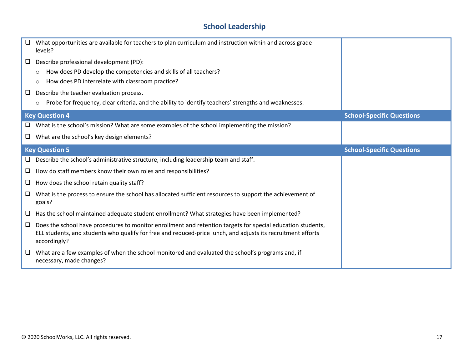# **School Leadership**

|        | What opportunities are available for teachers to plan curriculum and instruction within and across grade<br>levels?                                                                                                                         |                                  |
|--------|---------------------------------------------------------------------------------------------------------------------------------------------------------------------------------------------------------------------------------------------|----------------------------------|
| ⊔      | Describe professional development (PD):                                                                                                                                                                                                     |                                  |
|        | How does PD develop the competencies and skills of all teachers?<br>$\circ$                                                                                                                                                                 |                                  |
|        | How does PD interrelate with classroom practice?<br>$\circ$                                                                                                                                                                                 |                                  |
| ⊔      | Describe the teacher evaluation process.                                                                                                                                                                                                    |                                  |
|        | Probe for frequency, clear criteria, and the ability to identify teachers' strengths and weaknesses.<br>$\circ$                                                                                                                             |                                  |
|        | <b>Key Question 4</b>                                                                                                                                                                                                                       | <b>School-Specific Questions</b> |
| $\Box$ | What is the school's mission? What are some examples of the school implementing the mission?                                                                                                                                                |                                  |
|        | $\Box$ What are the school's key design elements?                                                                                                                                                                                           |                                  |
|        | <b>Key Question 5</b>                                                                                                                                                                                                                       | <b>School-Specific Questions</b> |
| $\Box$ | Describe the school's administrative structure, including leadership team and staff.                                                                                                                                                        |                                  |
| $\Box$ | How do staff members know their own roles and responsibilities?                                                                                                                                                                             |                                  |
| $\Box$ | How does the school retain quality staff?                                                                                                                                                                                                   |                                  |
| □      | What is the process to ensure the school has allocated sufficient resources to support the achievement of<br>goals?                                                                                                                         |                                  |
| O      | Has the school maintained adequate student enrollment? What strategies have been implemented?                                                                                                                                               |                                  |
| $\Box$ | Does the school have procedures to monitor enrollment and retention targets for special education students,<br>ELL students, and students who qualify for free and reduced-price lunch, and adjusts its recruitment efforts<br>accordingly? |                                  |
| ⊔      | What are a few examples of when the school monitored and evaluated the school's programs and, if<br>necessary, made changes?                                                                                                                |                                  |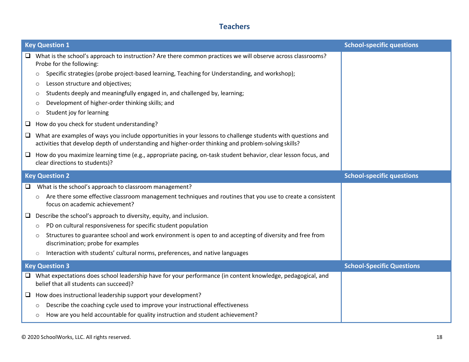# **Teachers**

|        | <b>Key Question 1</b>                                                                                                                                                                                                | <b>School-specific questions</b> |
|--------|----------------------------------------------------------------------------------------------------------------------------------------------------------------------------------------------------------------------|----------------------------------|
| $\Box$ | What is the school's approach to instruction? Are there common practices we will observe across classrooms?<br>Probe for the following:                                                                              |                                  |
|        | Specific strategies (probe project-based learning, Teaching for Understanding, and workshop);<br>$\circ$                                                                                                             |                                  |
|        | Lesson structure and objectives;<br>$\circ$                                                                                                                                                                          |                                  |
|        | Students deeply and meaningfully engaged in, and challenged by, learning;<br>$\circ$                                                                                                                                 |                                  |
|        | Development of higher-order thinking skills; and<br>$\circ$                                                                                                                                                          |                                  |
|        | Student joy for learning<br>$\circ$                                                                                                                                                                                  |                                  |
| □      | How do you check for student understanding?                                                                                                                                                                          |                                  |
| $\Box$ | What are examples of ways you include opportunities in your lessons to challenge students with questions and<br>activities that develop depth of understanding and higher-order thinking and problem-solving skills? |                                  |
|        | $\Box$ How do you maximize learning time (e.g., appropriate pacing, on-task student behavior, clear lesson focus, and<br>clear directions to students)?                                                              |                                  |
|        | <b>Key Question 2</b>                                                                                                                                                                                                | <b>School-specific questions</b> |
|        |                                                                                                                                                                                                                      |                                  |
| □      | What is the school's approach to classroom management?                                                                                                                                                               |                                  |
|        | Are there some effective classroom management techniques and routines that you use to create a consistent<br>$\circ$<br>focus on academic achievement?                                                               |                                  |
| ⊔      | Describe the school's approach to diversity, equity, and inclusion.                                                                                                                                                  |                                  |
|        | PD on cultural responsiveness for specific student population<br>$\circ$                                                                                                                                             |                                  |
|        | Structures to guarantee school and work environment is open to and accepting of diversity and free from<br>$\circ$<br>discrimination; probe for examples                                                             |                                  |
|        | Interaction with students' cultural norms, preferences, and native languages<br>$\circ$                                                                                                                              |                                  |
|        | <b>Key Question 3</b>                                                                                                                                                                                                | <b>School-Specific Questions</b> |
| □      | What expectations does school leadership have for your performance (in content knowledge, pedagogical, and<br>belief that all students can succeed)?                                                                 |                                  |
|        | $\Box$ How does instructional leadership support your development?                                                                                                                                                   |                                  |
|        | Describe the coaching cycle used to improve your instructional effectiveness<br>$\circ$                                                                                                                              |                                  |
|        | How are you held accountable for quality instruction and student achievement?<br>$\circ$                                                                                                                             |                                  |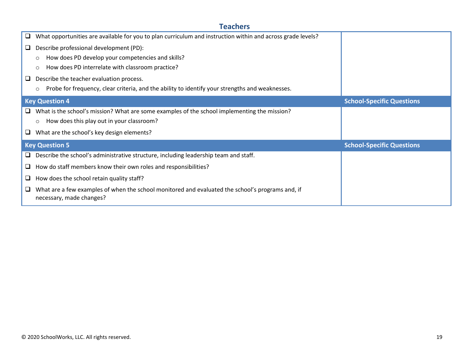# **Teachers**

| $\Box$ | What opportunities are available for you to plan curriculum and instruction within and across grade levels?                  |                                  |
|--------|------------------------------------------------------------------------------------------------------------------------------|----------------------------------|
| ⊔      | Describe professional development (PD):                                                                                      |                                  |
|        | How does PD develop your competencies and skills?<br>O                                                                       |                                  |
|        | How does PD interrelate with classroom practice?<br>$\circ$                                                                  |                                  |
| ⊔      | Describe the teacher evaluation process.                                                                                     |                                  |
|        | Probe for frequency, clear criteria, and the ability to identify your strengths and weaknesses.<br>O                         |                                  |
|        | <b>Key Question 4</b>                                                                                                        | <b>School-Specific Questions</b> |
| Q.     | What is the school's mission? What are some examples of the school implementing the mission?                                 |                                  |
|        | How does this play out in your classroom?<br>$\circ$                                                                         |                                  |
| ⊔      | What are the school's key design elements?                                                                                   |                                  |
|        | <b>Key Question 5</b>                                                                                                        | <b>School-Specific Questions</b> |
| □      | Describe the school's administrative structure, including leadership team and staff.                                         |                                  |
| □      | How do staff members know their own roles and responsibilities?                                                              |                                  |
| ⊔      | How does the school retain quality staff?                                                                                    |                                  |
| ⊔      | What are a few examples of when the school monitored and evaluated the school's programs and, if<br>necessary, made changes? |                                  |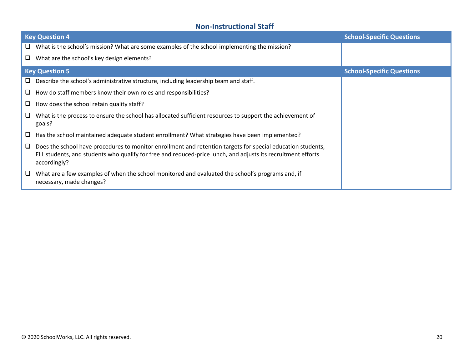# **Non-Instructional Staff**

|    | <b>Key Question 4</b>                                                                                                                                                                                                                       | <b>School-Specific Questions</b> |
|----|---------------------------------------------------------------------------------------------------------------------------------------------------------------------------------------------------------------------------------------------|----------------------------------|
| Q. | What is the school's mission? What are some examples of the school implementing the mission?                                                                                                                                                |                                  |
| Q. | What are the school's key design elements?                                                                                                                                                                                                  |                                  |
|    | <b>Key Question 5</b>                                                                                                                                                                                                                       | <b>School-Specific Questions</b> |
|    | $\Box$ Describe the school's administrative structure, including leadership team and staff.                                                                                                                                                 |                                  |
| ⊔  | How do staff members know their own roles and responsibilities?                                                                                                                                                                             |                                  |
|    | $\Box$ How does the school retain quality staff?                                                                                                                                                                                            |                                  |
| u  | What is the process to ensure the school has allocated sufficient resources to support the achievement of<br>goals?                                                                                                                         |                                  |
| ┕  | Has the school maintained adequate student enrollment? What strategies have been implemented?                                                                                                                                               |                                  |
| ⊔  | Does the school have procedures to monitor enrollment and retention targets for special education students,<br>ELL students, and students who qualify for free and reduced-price lunch, and adjusts its recruitment efforts<br>accordingly? |                                  |
| ⊔  | What are a few examples of when the school monitored and evaluated the school's programs and, if<br>necessary, made changes?                                                                                                                |                                  |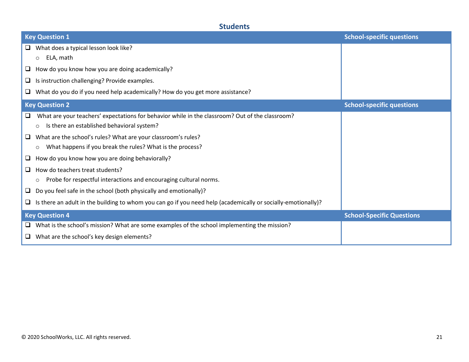# **Students**

| <b>Key Question 1</b>                                                                                                   | <b>School-specific questions</b> |
|-------------------------------------------------------------------------------------------------------------------------|----------------------------------|
| What does a typical lesson look like?<br>u.                                                                             |                                  |
| $\circ$ ELA, math                                                                                                       |                                  |
| How do you know how you are doing academically?<br>⊔                                                                    |                                  |
| $\Box$ Is instruction challenging? Provide examples.                                                                    |                                  |
| What do you do if you need help academically? How do you get more assistance?<br>u.                                     |                                  |
| <b>Key Question 2</b>                                                                                                   | <b>School-specific questions</b> |
| What are your teachers' expectations for behavior while in the classroom? Out of the classroom?                         |                                  |
| Is there an established behavioral system?<br>$\circ$                                                                   |                                  |
| What are the school's rules? What are your classroom's rules?<br>□                                                      |                                  |
| What happens if you break the rules? What is the process?<br>$\circ$                                                    |                                  |
| How do you know how you are doing behaviorally?<br>⊔                                                                    |                                  |
| How do teachers treat students?                                                                                         |                                  |
| Probe for respectful interactions and encouraging cultural norms.                                                       |                                  |
| Do you feel safe in the school (both physically and emotionally)?<br>⊔                                                  |                                  |
| Is there an adult in the building to whom you can go if you need help (academically or socially-emotionally)?<br>$\Box$ |                                  |
| <b>Key Question 4</b>                                                                                                   | <b>School-Specific Questions</b> |
| $\Box$ What is the school's mission? What are some examples of the school implementing the mission?                     |                                  |
| $\Box$ What are the school's key design elements?                                                                       |                                  |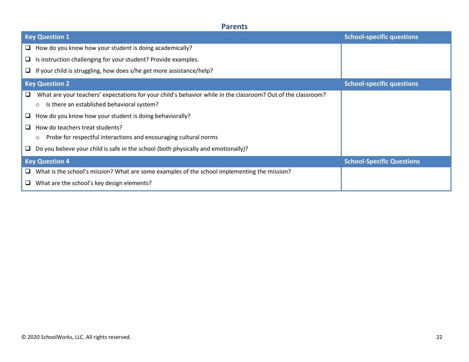# **Parents**

| <b>Key Question 1</b>                                                                                             | <b>School-specific questions</b> |
|-------------------------------------------------------------------------------------------------------------------|----------------------------------|
| How do you know how your student is doing academically?<br>⊔                                                      |                                  |
| Is instruction challenging for your student? Provide examples.<br>⊔                                               |                                  |
| $\Box$ If your child is struggling, how does s/he get more assistance/help?                                       |                                  |
| <b>Key Question 2</b>                                                                                             | <b>School-specific questions</b> |
| What are your teachers' expectations for your child's behavior while in the classroom? Out of the classroom?<br>u |                                  |
| Is there an established behavioral system?<br>$\circ$                                                             |                                  |
| How do you know how your student is doing behaviorally?<br>⊔                                                      |                                  |
| How do teachers treat students?<br>□                                                                              |                                  |
| Probe for respectful interactions and encouraging cultural norms<br>$\circ$                                       |                                  |
| Do you believe your child is safe in the school (both physically and emotionally)?<br>⊔                           |                                  |
| <b>Key Question 4</b>                                                                                             | <b>School-Specific Questions</b> |
| What is the school's mission? What are some examples of the school implementing the mission?<br>□                 |                                  |
| What are the school's key design elements?<br>⊔                                                                   |                                  |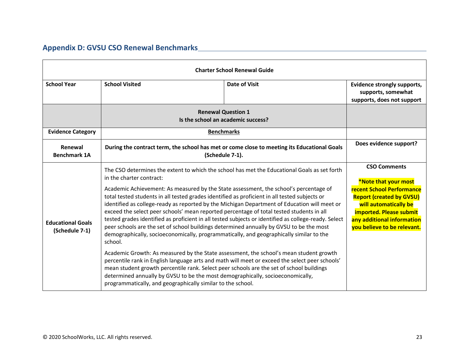# **Appendix D: GVSU CSO Renewal Benchmarks**

| <b>Charter School Renewal Guide</b>        |                                                                                                                                                                                                                                                                                                                                                                                                                                                                                                                                                                                     |                                                                                                                |                                                                                                                                                                                      |
|--------------------------------------------|-------------------------------------------------------------------------------------------------------------------------------------------------------------------------------------------------------------------------------------------------------------------------------------------------------------------------------------------------------------------------------------------------------------------------------------------------------------------------------------------------------------------------------------------------------------------------------------|----------------------------------------------------------------------------------------------------------------|--------------------------------------------------------------------------------------------------------------------------------------------------------------------------------------|
| <b>School Year</b>                         | <b>School Visited</b>                                                                                                                                                                                                                                                                                                                                                                                                                                                                                                                                                               | <b>Date of Visit</b>                                                                                           | Evidence strongly supports,<br>supports, somewhat<br>supports, does not support                                                                                                      |
|                                            |                                                                                                                                                                                                                                                                                                                                                                                                                                                                                                                                                                                     | <b>Renewal Question 1</b><br>Is the school an academic success?                                                |                                                                                                                                                                                      |
| <b>Evidence Category</b>                   |                                                                                                                                                                                                                                                                                                                                                                                                                                                                                                                                                                                     | <b>Benchmarks</b>                                                                                              |                                                                                                                                                                                      |
| Renewal<br><b>Benchmark 1A</b>             |                                                                                                                                                                                                                                                                                                                                                                                                                                                                                                                                                                                     | During the contract term, the school has met or come close to meeting its Educational Goals<br>(Schedule 7-1). | Does evidence support?                                                                                                                                                               |
|                                            | in the charter contract:                                                                                                                                                                                                                                                                                                                                                                                                                                                                                                                                                            | The CSO determines the extent to which the school has met the Educational Goals as set forth                   | <b>CSO Comments</b><br>*Note that your most                                                                                                                                          |
| <b>Educational Goals</b><br>(Schedule 7-1) | Academic Achievement: As measured by the State assessment, the school's percentage of<br>total tested students in all tested grades identified as proficient in all tested subjects or<br>identified as college-ready as reported by the Michigan Department of Education will meet or<br>exceed the select peer schools' mean reported percentage of total tested students in all<br>peer schools are the set of school buildings determined annually by GVSU to be the most<br>demographically, socioeconomically, programmatically, and geographically similar to the<br>school. | tested grades identified as proficient in all tested subjects or identified as college-ready. Select           | <b>recent School Performance</b><br><b>Report (created by GVSU)</b><br>will automatically be<br>imported. Please submit<br>any additional information<br>you believe to be relevant. |
|                                            | Academic Growth: As measured by the State assessment, the school's mean student growth<br>percentile rank in English language arts and math will meet or exceed the select peer schools'<br>mean student growth percentile rank. Select peer schools are the set of school buildings<br>determined annually by GVSU to be the most demographically, socioeconomically,<br>programmatically, and geographically similar to the school.                                                                                                                                               |                                                                                                                |                                                                                                                                                                                      |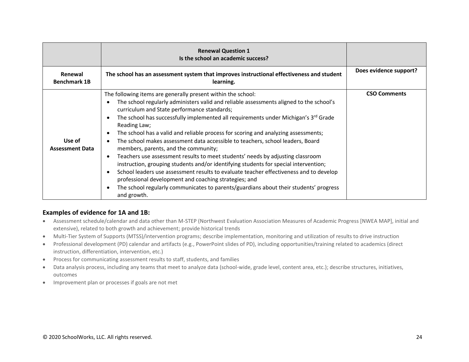|                                  | <b>Renewal Question 1</b><br>Is the school an academic success?                                                                                                                                                                                                                                                                                                                                                                                                                                                                                                                                                                                                                                                                                                                                                                                                                                                                                                                |                        |
|----------------------------------|--------------------------------------------------------------------------------------------------------------------------------------------------------------------------------------------------------------------------------------------------------------------------------------------------------------------------------------------------------------------------------------------------------------------------------------------------------------------------------------------------------------------------------------------------------------------------------------------------------------------------------------------------------------------------------------------------------------------------------------------------------------------------------------------------------------------------------------------------------------------------------------------------------------------------------------------------------------------------------|------------------------|
| Renewal<br><b>Benchmark 1B</b>   | The school has an assessment system that improves instructional effectiveness and student<br>learning.                                                                                                                                                                                                                                                                                                                                                                                                                                                                                                                                                                                                                                                                                                                                                                                                                                                                         | Does evidence support? |
| Use of<br><b>Assessment Data</b> | The following items are generally present within the school:<br>The school regularly administers valid and reliable assessments aligned to the school's<br>curriculum and State performance standards;<br>The school has successfully implemented all requirements under Michigan's 3 <sup>rd</sup> Grade<br>Reading Law;<br>The school has a valid and reliable process for scoring and analyzing assessments;<br>The school makes assessment data accessible to teachers, school leaders, Board<br>members, parents, and the community;<br>Teachers use assessment results to meet students' needs by adjusting classroom<br>instruction, grouping students and/or identifying students for special intervention;<br>School leaders use assessment results to evaluate teacher effectiveness and to develop<br>professional development and coaching strategies; and<br>The school regularly communicates to parents/guardians about their students' progress<br>and growth. | <b>CSO Comments</b>    |

#### **Examples of evidence for 1A and 1B:**

- Assessment schedule/calendar and data other than M-STEP (Northwest Evaluation Association Measures of Academic Progress [NWEA MAP], initial and extensive), related to both growth and achievement; provide historical trends
- Multi-Tier System of Supports (MTSS)/intervention programs; describe implementation, monitoring and utilization of results to drive instruction
- Professional development (PD) calendar and artifacts (e.g., PowerPoint slides of PD), including opportunities/training related to academics (direct instruction, differentiation, intervention, etc.)
- Process for communicating assessment results to staff, students, and families
- Data analysis process, including any teams that meet to analyze data (school-wide, grade level, content area, etc.); describe structures, initiatives, outcomes
- Improvement plan or processes if goals are not met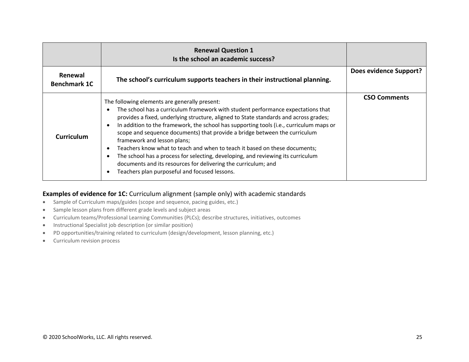|                                | <b>Renewal Question 1</b><br>Is the school an academic success?                                                                                                                                                                                                                                                                                                                                                                                                                                                                                                                                                                                                                                                         |                        |
|--------------------------------|-------------------------------------------------------------------------------------------------------------------------------------------------------------------------------------------------------------------------------------------------------------------------------------------------------------------------------------------------------------------------------------------------------------------------------------------------------------------------------------------------------------------------------------------------------------------------------------------------------------------------------------------------------------------------------------------------------------------------|------------------------|
| Renewal<br><b>Benchmark 1C</b> | The school's curriculum supports teachers in their instructional planning.                                                                                                                                                                                                                                                                                                                                                                                                                                                                                                                                                                                                                                              | Does evidence Support? |
| <b>Curriculum</b>              | The following elements are generally present:<br>The school has a curriculum framework with student performance expectations that<br>provides a fixed, underlying structure, aligned to State standards and across grades;<br>In addition to the framework, the school has supporting tools (i.e., curriculum maps or<br>scope and sequence documents) that provide a bridge between the curriculum<br>framework and lesson plans;<br>Teachers know what to teach and when to teach it based on these documents;<br>The school has a process for selecting, developing, and reviewing its curriculum<br>documents and its resources for delivering the curriculum; and<br>Teachers plan purposeful and focused lessons. | <b>CSO Comments</b>    |

### **Examples of evidence for 1C:** Curriculum alignment (sample only) with academic standards

- Sample of Curriculum maps/guides (scope and sequence, pacing guides, etc.)
- Sample lesson plans from different grade levels and subject areas
- Curriculum teams/Professional Learning Communities (PLCs); describe structures, initiatives, outcomes
- Instructional Specialist job description (or similar position)
- PD opportunities/training related to curriculum (design/development, lesson planning, etc.)
- Curriculum revision process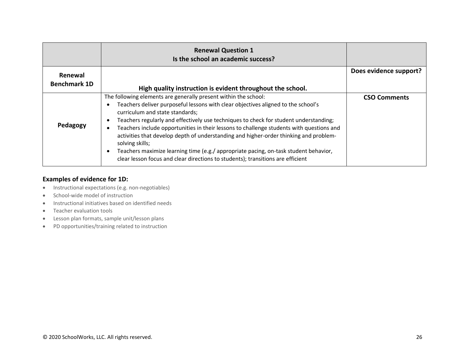|                                | <b>Renewal Question 1</b><br>Is the school an academic success?                                                                                                                                                                                                                                                                                                                                                                                                                                                                                                                                                                                                     |                        |
|--------------------------------|---------------------------------------------------------------------------------------------------------------------------------------------------------------------------------------------------------------------------------------------------------------------------------------------------------------------------------------------------------------------------------------------------------------------------------------------------------------------------------------------------------------------------------------------------------------------------------------------------------------------------------------------------------------------|------------------------|
| Renewal<br><b>Benchmark 1D</b> |                                                                                                                                                                                                                                                                                                                                                                                                                                                                                                                                                                                                                                                                     | Does evidence support? |
|                                | High quality instruction is evident throughout the school.                                                                                                                                                                                                                                                                                                                                                                                                                                                                                                                                                                                                          |                        |
| Pedagogy                       | The following elements are generally present within the school:<br>Teachers deliver purposeful lessons with clear objectives aligned to the school's<br>curriculum and state standards;<br>Teachers regularly and effectively use techniques to check for student understanding;<br>Teachers include opportunities in their lessons to challenge students with questions and<br>activities that develop depth of understanding and higher-order thinking and problem-<br>solving skills;<br>Teachers maximize learning time (e.g./ appropriate pacing, on-task student behavior,<br>clear lesson focus and clear directions to students); transitions are efficient | <b>CSO Comments</b>    |

### **Examples of evidence for 1D:**

- Instructional expectations (e.g. non-negotiables)
- School-wide model of instruction
- Instructional initiatives based on identified needs
- Teacher evaluation tools
- Lesson plan formats, sample unit/lesson plans
- PD opportunities/training related to instruction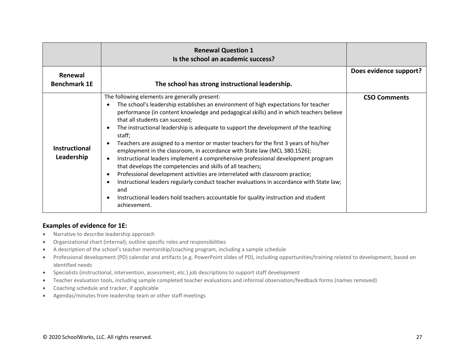|                                    | <b>Renewal Question 1</b><br>Is the school an academic success?                                                                                                                                                                                                                                                                                                                                                                                                                                                                                                                                                                                                                                                                                                                                                                                                                                                                                                                        |                        |
|------------------------------------|----------------------------------------------------------------------------------------------------------------------------------------------------------------------------------------------------------------------------------------------------------------------------------------------------------------------------------------------------------------------------------------------------------------------------------------------------------------------------------------------------------------------------------------------------------------------------------------------------------------------------------------------------------------------------------------------------------------------------------------------------------------------------------------------------------------------------------------------------------------------------------------------------------------------------------------------------------------------------------------|------------------------|
| Renewal                            |                                                                                                                                                                                                                                                                                                                                                                                                                                                                                                                                                                                                                                                                                                                                                                                                                                                                                                                                                                                        | Does evidence support? |
| <b>Benchmark 1E</b>                | The school has strong instructional leadership.                                                                                                                                                                                                                                                                                                                                                                                                                                                                                                                                                                                                                                                                                                                                                                                                                                                                                                                                        |                        |
| <b>Instructional</b><br>Leadership | The following elements are generally present:<br>The school's leadership establishes an environment of high expectations for teacher<br>performance (in content knowledge and pedagogical skills) and in which teachers believe<br>that all students can succeed;<br>The instructional leadership is adequate to support the development of the teaching<br>staff;<br>Teachers are assigned to a mentor or master teachers for the first 3 years of his/her<br>employment in the classroom, in accordance with State law (MCL 380.1526);<br>Instructional leaders implement a comprehensive professional development program<br>that develops the competencies and skills of all teachers;<br>Professional development activities are interrelated with classroom practice;<br>Instructional leaders regularly conduct teacher evaluations in accordance with State law;<br>and<br>Instructional leaders hold teachers accountable for quality instruction and student<br>achievement. | <b>CSO Comments</b>    |

### **Examples of evidence for 1E:**

- Narrative to describe leadership approach
- Organizational chart (internal); outline specific roles and responsibilities
- A description of the school's teacher mentorship/coaching program, including a sample schedule
- Professional development (PD) calendar and artifacts (e.g. PowerPoint slides of PD), including opportunities/training related to development, based on identified needs
- Specialists (instructional, intervention, assessment, etc.) job descriptions to support staff development
- Teacher evaluation tools, including sample completed teacher evaluations and informal observation/feedback forms (names removed)
- Coaching schedule and tracker, if applicable
- Agendas/minutes from leadership team or other staff meetings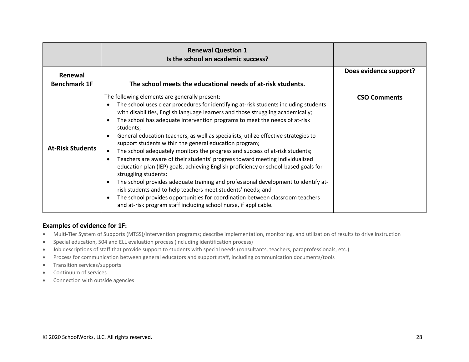|                         | <b>Renewal Question 1</b><br>Is the school an academic success?                                                                                                                                                                                                                                                                                                                                                                                                                                                                                                                                                                                                                                                                                                                                                                                                                                                                                                                                                                                                |                        |
|-------------------------|----------------------------------------------------------------------------------------------------------------------------------------------------------------------------------------------------------------------------------------------------------------------------------------------------------------------------------------------------------------------------------------------------------------------------------------------------------------------------------------------------------------------------------------------------------------------------------------------------------------------------------------------------------------------------------------------------------------------------------------------------------------------------------------------------------------------------------------------------------------------------------------------------------------------------------------------------------------------------------------------------------------------------------------------------------------|------------------------|
| Renewal                 |                                                                                                                                                                                                                                                                                                                                                                                                                                                                                                                                                                                                                                                                                                                                                                                                                                                                                                                                                                                                                                                                | Does evidence support? |
| <b>Benchmark 1F</b>     | The school meets the educational needs of at-risk students.                                                                                                                                                                                                                                                                                                                                                                                                                                                                                                                                                                                                                                                                                                                                                                                                                                                                                                                                                                                                    |                        |
| <b>At-Risk Students</b> | The following elements are generally present:<br>The school uses clear procedures for identifying at-risk students including students<br>with disabilities, English language learners and those struggling academically;<br>The school has adequate intervention programs to meet the needs of at-risk<br>students;<br>General education teachers, as well as specialists, utilize effective strategies to<br>support students within the general education program;<br>The school adequately monitors the progress and success of at-risk students;<br>Teachers are aware of their students' progress toward meeting individualized<br>education plan (IEP) goals, achieving English proficiency or school-based goals for<br>struggling students;<br>The school provides adequate training and professional development to identify at-<br>risk students and to help teachers meet students' needs; and<br>The school provides opportunities for coordination between classroom teachers<br>and at-risk program staff including school nurse, if applicable. | <b>CSO Comments</b>    |

#### **Examples of evidence for 1F:**

- Multi-Tier System of Supports (MTSS)/intervention programs; describe implementation, monitoring, and utilization of results to drive instruction
- Special education, 504 and ELL evaluation process (including identification process)
- Job descriptions of staff that provide support to students with special needs (consultants, teachers, paraprofessionals, etc.)
- Process for communication between general educators and support staff, including communication documents/tools
- Transition services/supports
- Continuum of services
- Connection with outside agencies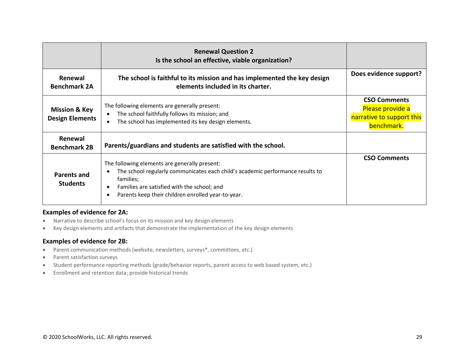|                                                    | <b>Renewal Question 2</b><br>Is the school an effective, viable organization?                                                                                                                                                                     |                                                                                    |
|----------------------------------------------------|---------------------------------------------------------------------------------------------------------------------------------------------------------------------------------------------------------------------------------------------------|------------------------------------------------------------------------------------|
| Renewal<br><b>Benchmark 2A</b>                     | The school is faithful to its mission and has implemented the key design<br>elements included in its charter.                                                                                                                                     | Does evidence support?                                                             |
| <b>Mission &amp; Key</b><br><b>Design Elements</b> | The following elements are generally present:<br>The school faithfully follows its mission; and<br>The school has implemented its key design elements.                                                                                            | <b>CSO Comments</b><br>Please provide a<br>narrative to support this<br>benchmark. |
| Renewal<br><b>Benchmark 2B</b>                     | Parents/guardians and students are satisfied with the school.                                                                                                                                                                                     |                                                                                    |
| Parents and<br><b>Students</b>                     | The following elements are generally present:<br>The school regularly communicates each child's academic performance results to<br>families;<br>Families are satisfied with the school; and<br>Parents keep their children enrolled year-to-year. | <b>CSO Comments</b>                                                                |

#### **Examples of evidence for 2A:**

- Narrative to describe school's focus on its mission and key design elements
- Key design elements and artifacts that demonstrate the implementation of the key design elements

#### **Examples of evidence for 2B:**

- Parent communication methods (website, newsletters, surveys\*, committees, etc.)
- Parent satisfaction surveys
- Student performance reporting methods (grade/behavior reports, parent access to web based system, etc.)
- Enrollment and retention data; provide historical trends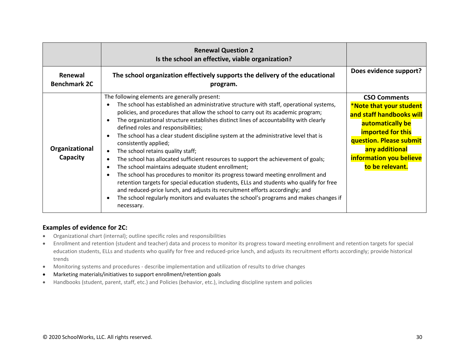|                                | <b>Renewal Question 2</b><br>Is the school an effective, viable organization?                                                                                                                                                                                                                                                                                                                                                                                                                                                                                                                                                                                                                                                                                                                                                                                                                                                                                                                                                                        |                                                                                                                                                                                                                       |
|--------------------------------|------------------------------------------------------------------------------------------------------------------------------------------------------------------------------------------------------------------------------------------------------------------------------------------------------------------------------------------------------------------------------------------------------------------------------------------------------------------------------------------------------------------------------------------------------------------------------------------------------------------------------------------------------------------------------------------------------------------------------------------------------------------------------------------------------------------------------------------------------------------------------------------------------------------------------------------------------------------------------------------------------------------------------------------------------|-----------------------------------------------------------------------------------------------------------------------------------------------------------------------------------------------------------------------|
| Renewal<br><b>Benchmark 2C</b> | The school organization effectively supports the delivery of the educational<br>program.                                                                                                                                                                                                                                                                                                                                                                                                                                                                                                                                                                                                                                                                                                                                                                                                                                                                                                                                                             | Does evidence support?                                                                                                                                                                                                |
| Organizational<br>Capacity     | The following elements are generally present:<br>The school has established an administrative structure with staff, operational systems,<br>policies, and procedures that allow the school to carry out its academic program;<br>The organizational structure establishes distinct lines of accountability with clearly<br>defined roles and responsibilities;<br>The school has a clear student discipline system at the administrative level that is<br>consistently applied;<br>The school retains quality staff;<br>$\bullet$<br>The school has allocated sufficient resources to support the achievement of goals;<br>The school maintains adequate student enrollment;<br>The school has procedures to monitor its progress toward meeting enrollment and<br>retention targets for special education students, ELLs and students who qualify for free<br>and reduced-price lunch, and adjusts its recruitment efforts accordingly; and<br>The school regularly monitors and evaluates the school's programs and makes changes if<br>necessary. | <b>CSO Comments</b><br>*Note that your student<br>and staff handbooks will<br>automatically be<br><b>imported for this</b><br>question. Please submit<br>any additional<br>information you believe<br>to be relevant. |

### **Examples of evidence for 2C:**

- Organizational chart (internal); outline specific roles and responsibilities
- Enrollment and retention (student and teacher) data and process to monitor its progress toward meeting enrollment and retention targets for special education students, ELLs and students who qualify for free and reduced-price lunch, and adjusts its recruitment efforts accordingly; provide historical trends
- Monitoring systems and procedures describe implementation and utilization of results to drive changes
- Marketing materials/initiatives to support enrollment/retention goals
- Handbooks (student, parent, staff, etc.) and Policies (behavior, etc.), including discipline system and policies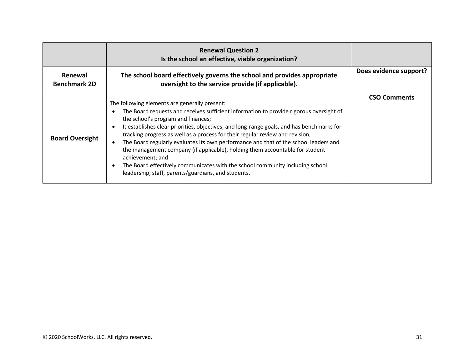|                                | <b>Renewal Question 2</b><br>Is the school an effective, viable organization?                                                                                                                                                                                                                                                                                                                                                                                                                                                                                                                                                                                                                    |                        |
|--------------------------------|--------------------------------------------------------------------------------------------------------------------------------------------------------------------------------------------------------------------------------------------------------------------------------------------------------------------------------------------------------------------------------------------------------------------------------------------------------------------------------------------------------------------------------------------------------------------------------------------------------------------------------------------------------------------------------------------------|------------------------|
| Renewal<br><b>Benchmark 2D</b> | The school board effectively governs the school and provides appropriate<br>oversight to the service provide (if applicable).                                                                                                                                                                                                                                                                                                                                                                                                                                                                                                                                                                    | Does evidence support? |
| <b>Board Oversight</b>         | The following elements are generally present:<br>The Board requests and receives sufficient information to provide rigorous oversight of<br>the school's program and finances;<br>It establishes clear priorities, objectives, and long-range goals, and has benchmarks for<br>tracking progress as well as a process for their regular review and revision;<br>The Board regularly evaluates its own performance and that of the school leaders and<br>the management company (if applicable), holding them accountable for student<br>achievement; and<br>The Board effectively communicates with the school community including school<br>leadership, staff, parents/guardians, and students. | <b>CSO Comments</b>    |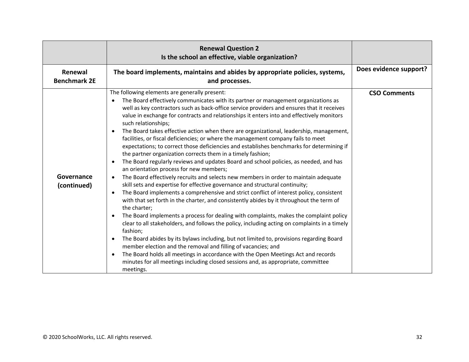|                                | <b>Renewal Question 2</b><br>Is the school an effective, viable organization?                                                                                                                                                                                                                                                                                                                                                                                                                                                                                                                                                                                                                                                                                                                                                                                                                                                                                                                                                                                                                                                                                                                                                                                                                                                                                                                                                                                                                                                                                                                                                                                                                                                                                                                                                                                              |                        |
|--------------------------------|----------------------------------------------------------------------------------------------------------------------------------------------------------------------------------------------------------------------------------------------------------------------------------------------------------------------------------------------------------------------------------------------------------------------------------------------------------------------------------------------------------------------------------------------------------------------------------------------------------------------------------------------------------------------------------------------------------------------------------------------------------------------------------------------------------------------------------------------------------------------------------------------------------------------------------------------------------------------------------------------------------------------------------------------------------------------------------------------------------------------------------------------------------------------------------------------------------------------------------------------------------------------------------------------------------------------------------------------------------------------------------------------------------------------------------------------------------------------------------------------------------------------------------------------------------------------------------------------------------------------------------------------------------------------------------------------------------------------------------------------------------------------------------------------------------------------------------------------------------------------------|------------------------|
| Renewal<br><b>Benchmark 2E</b> | The board implements, maintains and abides by appropriate policies, systems,<br>and processes.                                                                                                                                                                                                                                                                                                                                                                                                                                                                                                                                                                                                                                                                                                                                                                                                                                                                                                                                                                                                                                                                                                                                                                                                                                                                                                                                                                                                                                                                                                                                                                                                                                                                                                                                                                             | Does evidence support? |
| Governance<br>(continued)      | The following elements are generally present:<br>The Board effectively communicates with its partner or management organizations as<br>$\bullet$<br>well as key contractors such as back-office service providers and ensures that it receives<br>value in exchange for contracts and relationships it enters into and effectively monitors<br>such relationships;<br>The Board takes effective action when there are organizational, leadership, management,<br>$\bullet$<br>facilities, or fiscal deficiencies; or where the management company fails to meet<br>expectations; to correct those deficiencies and establishes benchmarks for determining if<br>the partner organization corrects them in a timely fashion;<br>The Board regularly reviews and updates Board and school policies, as needed, and has<br>an orientation process for new members;<br>The Board effectively recruits and selects new members in order to maintain adequate<br>$\bullet$<br>skill sets and expertise for effective governance and structural continuity;<br>The Board implements a comprehensive and strict conflict of interest policy, consistent<br>$\bullet$<br>with that set forth in the charter, and consistently abides by it throughout the term of<br>the charter;<br>The Board implements a process for dealing with complaints, makes the complaint policy<br>$\bullet$<br>clear to all stakeholders, and follows the policy, including acting on complaints in a timely<br>fashion;<br>The Board abides by its bylaws including, but not limited to, provisions regarding Board<br>$\bullet$<br>member election and the removal and filling of vacancies; and<br>The Board holds all meetings in accordance with the Open Meetings Act and records<br>$\bullet$<br>minutes for all meetings including closed sessions and, as appropriate, committee<br>meetings. | <b>CSO Comments</b>    |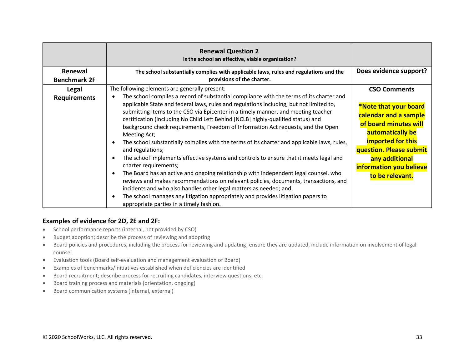|                     | <b>Renewal Question 2</b><br>Is the school an effective, viable organization?                                                                                                                                                                                            |                                                                    |
|---------------------|--------------------------------------------------------------------------------------------------------------------------------------------------------------------------------------------------------------------------------------------------------------------------|--------------------------------------------------------------------|
| Renewal             | The school substantially complies with applicable laws, rules and regulations and the                                                                                                                                                                                    | Does evidence support?                                             |
| <b>Benchmark 2F</b> | provisions of the charter.                                                                                                                                                                                                                                               |                                                                    |
| Legal               | The following elements are generally present:                                                                                                                                                                                                                            | <b>CSO Comments</b>                                                |
| <b>Requirements</b> | The school compiles a record of substantial compliance with the terms of its charter and<br>applicable State and federal laws, rules and regulations including, but not limited to,<br>submitting items to the CSO via Epicenter in a timely manner, and meeting teacher | *Note that your board                                              |
|                     | certification (including No Child Left Behind [NCLB] highly-qualified status) and<br>background check requirements, Freedom of Information Act requests, and the Open<br>Meeting Act;                                                                                    | calendar and a sample<br>of board minutes will<br>automatically be |
|                     | The school substantially complies with the terms of its charter and applicable laws, rules,<br>and regulations;                                                                                                                                                          | <b>imported for this</b><br>question. Please submit                |
|                     | The school implements effective systems and controls to ensure that it meets legal and<br>charter requirements;                                                                                                                                                          | any additional<br>information you believe                          |
|                     | The Board has an active and ongoing relationship with independent legal counsel, who<br>reviews and makes recommendations on relevant policies, documents, transactions, and<br>incidents and who also handles other legal matters as needed; and                        | to be relevant.                                                    |
|                     | The school manages any litigation appropriately and provides litigation papers to<br>appropriate parties in a timely fashion.                                                                                                                                            |                                                                    |

#### **Examples of evidence for 2D, 2E and 2F:**

- School performance reports (internal, not provided by CSO)
- Budget adoption; describe the process of reviewing and adopting
- Board policies and procedures, including the process for reviewing and updating; ensure they are updated, include information on involvement of legal counsel
- Evaluation tools (Board self-evaluation and management evaluation of Board)
- Examples of benchmarks/initiatives established when deficiencies are identified
- Board recruitment; describe process for recruiting candidates, interview questions, etc.
- Board training process and materials (orientation, ongoing)
- Board communication systems (internal, external)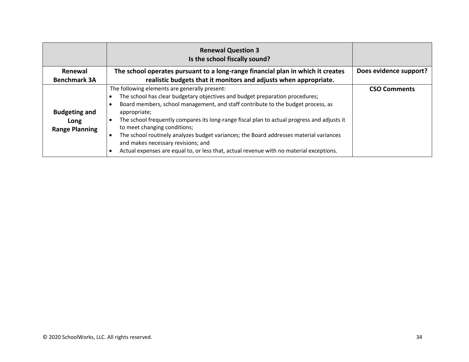|                                                       | <b>Renewal Question 3</b><br>Is the school fiscally sound?                                                                                                                                                                                                                                                                                                                                                                                                                                                                                                                                  |                        |
|-------------------------------------------------------|---------------------------------------------------------------------------------------------------------------------------------------------------------------------------------------------------------------------------------------------------------------------------------------------------------------------------------------------------------------------------------------------------------------------------------------------------------------------------------------------------------------------------------------------------------------------------------------------|------------------------|
| <b>Renewal</b>                                        | The school operates pursuant to a long-range financial plan in which it creates                                                                                                                                                                                                                                                                                                                                                                                                                                                                                                             | Does evidence support? |
| <b>Benchmark 3A</b>                                   | realistic budgets that it monitors and adjusts when appropriate.                                                                                                                                                                                                                                                                                                                                                                                                                                                                                                                            |                        |
| <b>Budgeting and</b><br>Long<br><b>Range Planning</b> | The following elements are generally present:<br>The school has clear budgetary objectives and budget preparation procedures;<br>Board members, school management, and staff contribute to the budget process, as<br>appropriate;<br>The school frequently compares its long-range fiscal plan to actual progress and adjusts it<br>to meet changing conditions;<br>The school routinely analyzes budget variances; the Board addresses material variances<br>and makes necessary revisions; and<br>Actual expenses are equal to, or less that, actual revenue with no material exceptions. | <b>CSO Comments</b>    |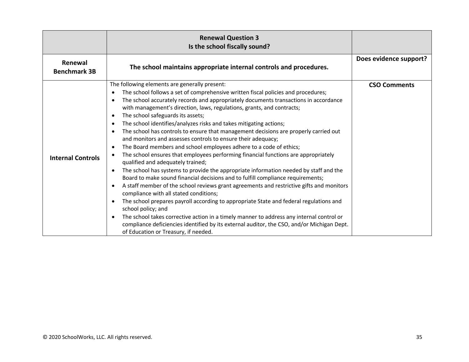|                                | <b>Renewal Question 3</b><br>Is the school fiscally sound?                                                                                                                                                                                                                                                                                                                                                                                                                                                                                                                                                                                                                                                                                                                                                                                                                                                                                                                                                                                                                                                                                                                                                                                                                                                                                                                                                                                                                                                                                                          |                        |
|--------------------------------|---------------------------------------------------------------------------------------------------------------------------------------------------------------------------------------------------------------------------------------------------------------------------------------------------------------------------------------------------------------------------------------------------------------------------------------------------------------------------------------------------------------------------------------------------------------------------------------------------------------------------------------------------------------------------------------------------------------------------------------------------------------------------------------------------------------------------------------------------------------------------------------------------------------------------------------------------------------------------------------------------------------------------------------------------------------------------------------------------------------------------------------------------------------------------------------------------------------------------------------------------------------------------------------------------------------------------------------------------------------------------------------------------------------------------------------------------------------------------------------------------------------------------------------------------------------------|------------------------|
| Renewal<br><b>Benchmark 3B</b> | The school maintains appropriate internal controls and procedures.                                                                                                                                                                                                                                                                                                                                                                                                                                                                                                                                                                                                                                                                                                                                                                                                                                                                                                                                                                                                                                                                                                                                                                                                                                                                                                                                                                                                                                                                                                  | Does evidence support? |
| <b>Internal Controls</b>       | The following elements are generally present:<br>The school follows a set of comprehensive written fiscal policies and procedures;<br>$\bullet$<br>The school accurately records and appropriately documents transactions in accordance<br>$\bullet$<br>with management's direction, laws, regulations, grants, and contracts;<br>The school safeguards its assets;<br>٠<br>The school identifies/analyzes risks and takes mitigating actions;<br>$\bullet$<br>The school has controls to ensure that management decisions are properly carried out<br>$\bullet$<br>and monitors and assesses controls to ensure their adequacy;<br>The Board members and school employees adhere to a code of ethics;<br>$\bullet$<br>The school ensures that employees performing financial functions are appropriately<br>$\bullet$<br>qualified and adequately trained;<br>The school has systems to provide the appropriate information needed by staff and the<br>٠<br>Board to make sound financial decisions and to fulfill compliance requirements;<br>A staff member of the school reviews grant agreements and restrictive gifts and monitors<br>$\bullet$<br>compliance with all stated conditions;<br>The school prepares payroll according to appropriate State and federal regulations and<br>٠<br>school policy; and<br>The school takes corrective action in a timely manner to address any internal control or<br>$\bullet$<br>compliance deficiencies identified by its external auditor, the CSO, and/or Michigan Dept.<br>of Education or Treasury, if needed. | <b>CSO Comments</b>    |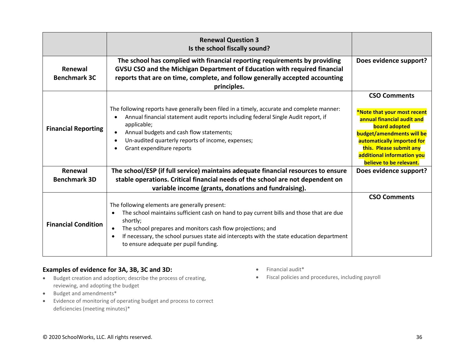|                                | <b>Renewal Question 3</b><br>Is the school fiscally sound?                                                                                                                                                                                                                                                                                                                                        |                                                                                                                                                                                                                                                         |
|--------------------------------|---------------------------------------------------------------------------------------------------------------------------------------------------------------------------------------------------------------------------------------------------------------------------------------------------------------------------------------------------------------------------------------------------|---------------------------------------------------------------------------------------------------------------------------------------------------------------------------------------------------------------------------------------------------------|
| Renewal<br><b>Benchmark 3C</b> | The school has complied with financial reporting requirements by providing<br>GVSU CSO and the Michigan Department of Education with required financial<br>reports that are on time, complete, and follow generally accepted accounting<br>principles.                                                                                                                                            | Does evidence support?                                                                                                                                                                                                                                  |
| <b>Financial Reporting</b>     | The following reports have generally been filed in a timely, accurate and complete manner:<br>Annual financial statement audit reports including federal Single Audit report, if<br>applicable;<br>Annual budgets and cash flow statements;<br>Un-audited quarterly reports of income, expenses;<br>Grant expenditure reports                                                                     | <b>CSO Comments</b><br>*Note that your most recent<br>annual financial audit and<br><b>board adopted</b><br>budget/amendments will be<br>automatically imported for<br>this. Please submit any<br>additional information you<br>believe to be relevant. |
| Renewal                        | The school/ESP (if full service) maintains adequate financial resources to ensure                                                                                                                                                                                                                                                                                                                 | Does evidence support?                                                                                                                                                                                                                                  |
| <b>Benchmark 3D</b>            | stable operations. Critical financial needs of the school are not dependent on                                                                                                                                                                                                                                                                                                                    |                                                                                                                                                                                                                                                         |
|                                | variable income (grants, donations and fundraising).                                                                                                                                                                                                                                                                                                                                              |                                                                                                                                                                                                                                                         |
| <b>Financial Condition</b>     | The following elements are generally present:<br>The school maintains sufficient cash on hand to pay current bills and those that are due<br>$\bullet$<br>shortly;<br>The school prepares and monitors cash flow projections; and<br>$\bullet$<br>If necessary, the school pursues state aid intercepts with the state education department<br>$\bullet$<br>to ensure adequate per pupil funding. | <b>CSO Comments</b>                                                                                                                                                                                                                                     |

# **Examples of evidence for 3A, 3B, 3C and 3D:**

- Budget creation and adoption; describe the process of creating, reviewing, and adopting the budget
- Budget and amendments\*
- Evidence of monitoring of operating budget and process to correct deficiencies (meeting minutes)\*
- Financial audit\*
- Fiscal policies and procedures, including payroll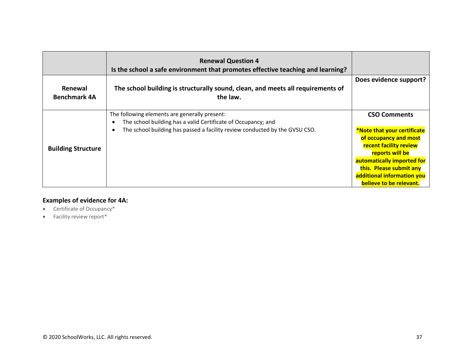|                                | <b>Renewal Question 4</b><br>Is the school a safe environment that promotes effective teaching and learning?   |                                                                                                                |
|--------------------------------|----------------------------------------------------------------------------------------------------------------|----------------------------------------------------------------------------------------------------------------|
| Renewal<br><b>Benchmark 4A</b> | The school building is structurally sound, clean, and meets all requirements of<br>the law.                    | Does evidence support?                                                                                         |
| <b>Building Structure</b>      | The following elements are generally present:<br>The school building has a valid Certificate of Occupancy; and | <b>CSO Comments</b>                                                                                            |
|                                | The school building has passed a facility review conducted by the GVSU CSO.                                    | *Note that your certificate<br>of occupancy and most<br><b>recent facility review</b><br>reports will be       |
|                                |                                                                                                                | automatically imported for<br>this. Please submit any<br>additional information you<br>believe to be relevant. |

# **Examples of evidence for 4A:**

- Certificate of Occupancy\*
- Facility review report\*